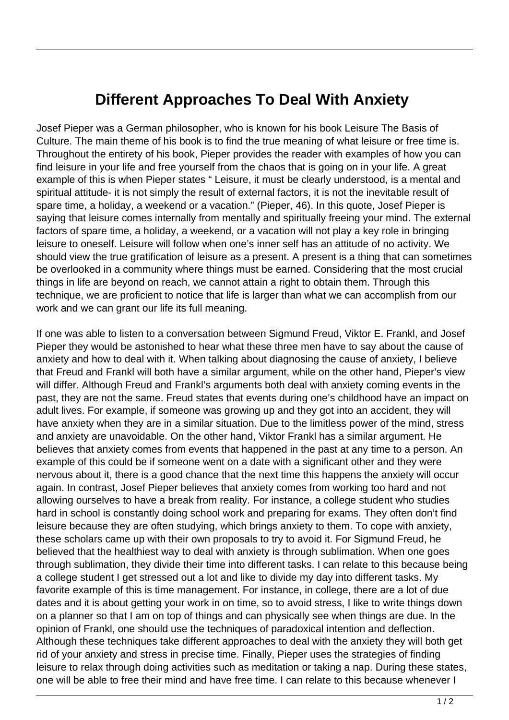## **Different Approaches To Deal With Anxiety**

Josef Pieper was a German philosopher, who is known for his book Leisure The Basis of Culture. The main theme of his book is to find the true meaning of what leisure or free time is. Throughout the entirety of his book, Pieper provides the reader with examples of how you can find leisure in your life and free yourself from the chaos that is going on in your life. A great example of this is when Pieper states " Leisure, it must be clearly understood, is a mental and spiritual attitude- it is not simply the result of external factors, it is not the inevitable result of spare time, a holiday, a weekend or a vacation." (Pieper, 46). In this quote, Josef Pieper is saying that leisure comes internally from mentally and spiritually freeing your mind. The external factors of spare time, a holiday, a weekend, or a vacation will not play a key role in bringing leisure to oneself. Leisure will follow when one's inner self has an attitude of no activity. We should view the true gratification of leisure as a present. A present is a thing that can sometimes be overlooked in a community where things must be earned. Considering that the most crucial things in life are beyond on reach, we cannot attain a right to obtain them. Through this technique, we are proficient to notice that life is larger than what we can accomplish from our work and we can grant our life its full meaning.

If one was able to listen to a conversation between Sigmund Freud, Viktor E. Frankl, and Josef Pieper they would be astonished to hear what these three men have to say about the cause of anxiety and how to deal with it. When talking about diagnosing the cause of anxiety, I believe that Freud and Frankl will both have a similar argument, while on the other hand, Pieper's view will differ. Although Freud and Frankl's arguments both deal with anxiety coming events in the past, they are not the same. Freud states that events during one's childhood have an impact on adult lives. For example, if someone was growing up and they got into an accident, they will have anxiety when they are in a similar situation. Due to the limitless power of the mind, stress and anxiety are unavoidable. On the other hand, Viktor Frankl has a similar argument. He believes that anxiety comes from events that happened in the past at any time to a person. An example of this could be if someone went on a date with a significant other and they were nervous about it, there is a good chance that the next time this happens the anxiety will occur again. In contrast, Josef Pieper believes that anxiety comes from working too hard and not allowing ourselves to have a break from reality. For instance, a college student who studies hard in school is constantly doing school work and preparing for exams. They often don't find leisure because they are often studying, which brings anxiety to them. To cope with anxiety, these scholars came up with their own proposals to try to avoid it. For Sigmund Freud, he believed that the healthiest way to deal with anxiety is through sublimation. When one goes through sublimation, they divide their time into different tasks. I can relate to this because being a college student I get stressed out a lot and like to divide my day into different tasks. My favorite example of this is time management. For instance, in college, there are a lot of due dates and it is about getting your work in on time, so to avoid stress, I like to write things down on a planner so that I am on top of things and can physically see when things are due. In the opinion of Frankl, one should use the techniques of paradoxical intention and deflection. Although these techniques take different approaches to deal with the anxiety they will both get rid of your anxiety and stress in precise time. Finally, Pieper uses the strategies of finding leisure to relax through doing activities such as meditation or taking a nap. During these states, one will be able to free their mind and have free time. I can relate to this because whenever I